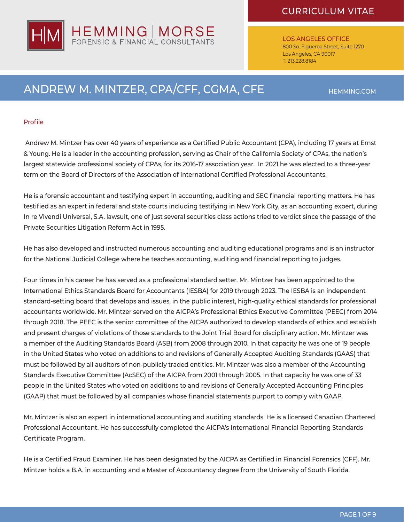

LOS ANGELES OFFICE 800 So. Figueroa Street, Suite 1270 Los Angeles, CA 90017 T: 213.228.8184

# ANDREW M. MINTZER, CPA/CFF, CGMA, CFE HEMMING.COM

### Profile

 Andrew M. Mintzer has over 40 years of experience as a Certified Public Accountant (CPA), including 17 years at Ernst & Young. He is a leader in the accounting profession, serving as Chair of the California Society of CPAs, the nation's largest statewide professional society of CPAs, for its 2016-17 association year. In 2021 he was elected to a three-year term on the Board of Directors of the Association of International Certified Professional Accountants.

He is a forensic accountant and testifying expert in accounting, auditing and SEC financial reporting matters. He has testified as an expert in federal and state courts including testifying in New York City, as an accounting expert, during In re Vivendi Universal, S.A. lawsuit, one of just several securities class actions tried to verdict since the passage of the Private Securities Litigation Reform Act in 1995.

He has also developed and instructed numerous accounting and auditing educational programs and is an instructor for the National Judicial College where he teaches accounting, auditing and financial reporting to judges.

Four times in his career he has served as a professional standard setter. Mr. Mintzer has been appointed to the International Ethics Standards Board for Accountants (IESBA) for 2019 through 2023. The IESBA is an independent standard-setting board that develops and issues, in the public interest, high-quality ethical standards for professional accountants worldwide. Mr. Mintzer served on the AICPA's Professional Ethics Executive Committee (PEEC) from 2014 through 2018. The PEEC is the senior committee of the AICPA authorized to develop standards of ethics and establish and present charges of violations of those standards to the Joint Trial Board for disciplinary action. Mr. Mintzer was a member of the Auditing Standards Board (ASB) from 2008 through 2010. In that capacity he was one of 19 people in the United States who voted on additions to and revisions of Generally Accepted Auditing Standards (GAAS) that must be followed by all auditors of non-publicly traded entities. Mr. Mintzer was also a member of the Accounting Standards Executive Committee (AcSEC) of the AICPA from 2001 through 2005. In that capacity he was one of 33 people in the United States who voted on additions to and revisions of Generally Accepted Accounting Principles (GAAP) that must be followed by all companies whose financial statements purport to comply with GAAP.

Mr. Mintzer is also an expert in international accounting and auditing standards. He is a licensed Canadian Chartered Professional Accountant. He has successfully completed the AICPA's International Financial Reporting Standards Certificate Program.

He is a Certified Fraud Examiner. He has been designated by the AICPA as Certified in Financial Forensics (CFF). Mr. Mintzer holds a B.A. in accounting and a Master of Accountancy degree from the University of South Florida.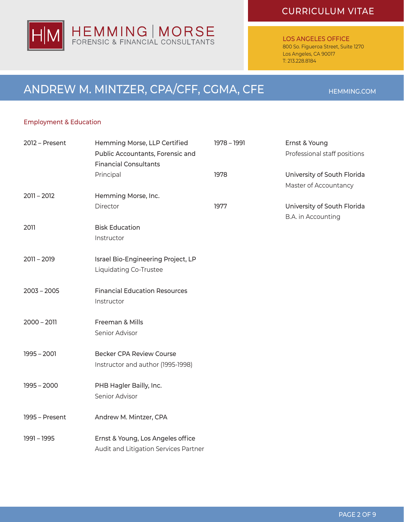

LOS ANGELES OFFICE

800 So. Figueroa Street, Suite 1270 Los Angeles, CA 90017 T: 213.228.8184

# ANDREW M. MINTZER, CPA/CFF, CGMA, CFE HEMMING.COM

### Employment & Education

| 2012 - Present | Hemming Morse, LLP Certified          | 1978 - 1991 | Ernst & Young                |
|----------------|---------------------------------------|-------------|------------------------------|
|                | Public Accountants, Forensic and      |             | Professional staff positions |
|                | <b>Financial Consultants</b>          |             |                              |
|                | Principal                             | 1978        | University of South Florida  |
|                |                                       |             | Master of Accountancy        |
| $2011 - 2012$  | Hemming Morse, Inc.                   |             |                              |
|                | Director                              | 1977        | University of South Florida  |
|                |                                       |             | B.A. in Accounting           |
| 2011           | <b>Bisk Education</b>                 |             |                              |
|                | Instructor                            |             |                              |
|                |                                       |             |                              |
| $2011 - 2019$  | Israel Bio-Engineering Project, LP    |             |                              |
|                | Liquidating Co-Trustee                |             |                              |
|                |                                       |             |                              |
| $2003 - 2005$  | <b>Financial Education Resources</b>  |             |                              |
|                | Instructor                            |             |                              |
|                |                                       |             |                              |
| $2000 - 2011$  | Freeman & Mills                       |             |                              |
|                | Senior Advisor                        |             |                              |
|                |                                       |             |                              |
| $1995 - 2001$  | <b>Becker CPA Review Course</b>       |             |                              |
|                | Instructor and author (1995-1998)     |             |                              |
|                |                                       |             |                              |
| $1995 - 2000$  | PHB Hagler Bailly, Inc.               |             |                              |
|                | Senior Advisor                        |             |                              |
|                |                                       |             |                              |
| 1995 - Present | Andrew M. Mintzer, CPA                |             |                              |
|                |                                       |             |                              |
| 1991 - 1995    | Ernst & Young, Los Angeles office     |             |                              |
|                | Audit and Litigation Services Partner |             |                              |
|                |                                       |             |                              |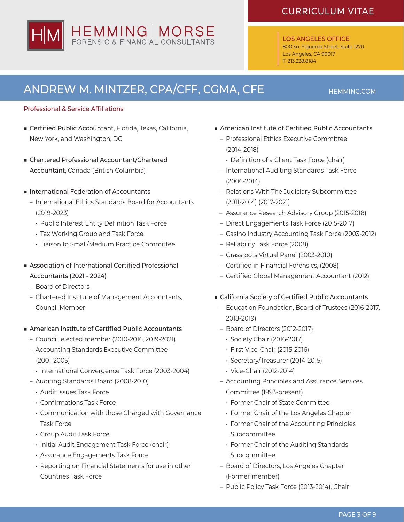

### LOS ANGELES OFFICE

800 So. Figueroa Street, Suite 1270 Los Angeles, CA 90017 T: 213.228.8184

# ANDREW M. MINTZER, CPA/CFF, CGMA, CFE HEMMING.COM

### Professional & Service Affiliations

- Certified Public Accountant, Florida, Texas, California, New York, and Washington, DC
- Chartered Professional Accountant/Chartered Accountant, Canada (British Columbia)
- International Federation of Accountants
	- International Ethics Standards Board for Accountants (2019-2023)
		- Public Interest Entity Definition Task Force
		- Tax Working Group and Task Force
		- Liaison to Small/Medium Practice Committee
- Association of International Certified Professional Accountants (2021 - 2024)
	- Board of Directors
	- Chartered Institute of Management Accountants, Council Member
- American Institute of Certified Public Accountants
	- Council, elected member (2010-2016, 2019-2021)
	- Accounting Standards Executive Committee (2001-2005)
		- International Convergence Task Force (2003-2004)
	- Auditing Standards Board (2008-2010)
		- Audit Issues Task Force
		- • Confirmations Task Force
		- Communication with those Charged with Governance Task Force
		- Group Audit Task Force
		- Initial Audit Engagement Task Force (chair)
		- Assurance Engagements Task Force
		- Reporting on Financial Statements for use in other Countries Task Force
- American Institute of Certified Public Accountants
	- Professional Ethics Executive Committee (2014-2018)
		- Definition of a Client Task Force (chair)
	- International Auditing Standards Task Force (2006-2014)
	- Relations With The Judiciary Subcommittee (2011-2014) (2017-2021)
	- Assurance Research Advisory Group (2015-2018)
	- Direct Engagements Task Force (2015-2017)
	- Casino Industry Accounting Task Force (2003-2012)
	- Reliability Task Force (2008)
	- Grassroots Virtual Panel (2003-2010)
	- Certified in Financial Forensics, (2008)
	- – Certified Global Management Accountant (2012)
- California Society of Certified Public Accountants
	- Education Foundation, Board of Trustees (2016-2017, 2018-2019)
	- Board of Directors (2012-2017)
		- Society Chair (2016-2017)
		- First Vice-Chair (2015-2016)
		- Secretary/Treasurer (2014-2015)
		- Vice-Chair (2012-2014)
	- Accounting Principles and Assurance Services Committee (1993-present)
		- Former Chair of State Committee
		- Former Chair of the Los Angeles Chapter
		- Former Chair of the Accounting Principles Subcommittee
		- Former Chair of the Auditing Standards Subcommittee
	- Board of Directors, Los Angeles Chapter (Former member)
	- Public Policy Task Force (2013-2014), Chair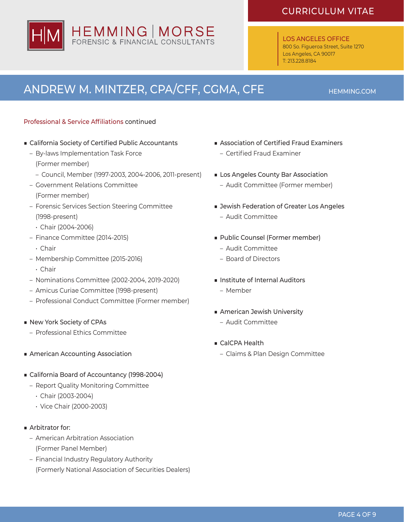

### LOS ANGELES OFFICE

800 So. Figueroa Street, Suite 1270 Los Angeles, CA 90017 T: 213.228.8184

# ANDREW M. MINTZER, CPA/CFF, CGMA, CFE HEMMING.COM

### Professional & Service Affiliations continued

- California Society of Certified Public Accountants
	- By-laws Implementation Task Force (Former member)
		- Council, Member (1997-2003, 2004-2006, 2011-present)
	- Government Relations Committee (Former member)
	- Forensic Services Section Steering Committee (1998-present)
	- Chair (2004-2006)
	- Finance Committee (2014-2015)
		- Chair
	- Membership Committee (2015-2016)
		- Chair
	- Nominations Committee (2002-2004, 2019-2020)
	- Amicus Curiae Committee (1998-present)
	- Professional Conduct Committee (Former member)
- New York Society of CPAs
	- Professional Ethics Committee
- American Accounting Association
- California Board of Accountancy (1998-2004)
	- Report Quality Monitoring Committee
		- Chair (2003-2004)
		- Vice Chair (2000-2003)
- Arbitrator for:
	- American Arbitration Association (Former Panel Member)
	- Financial Industry Regulatory Authority (Formerly National Association of Securities Dealers)
- Association of Certified Fraud Examiners
	- – Certified Fraud Examiner
- Los Angeles County Bar Association
	- Audit Committee (Former member)
- Jewish Federation of Greater Los Angeles – Audit Committee
- Public Counsel (Former member)
	- Audit Committee
	- Board of Directors
- Institute of Internal Auditors – Member
- American Jewish University
	- Audit Committee
- CalCPA Health
	- Claims & Plan Design Committee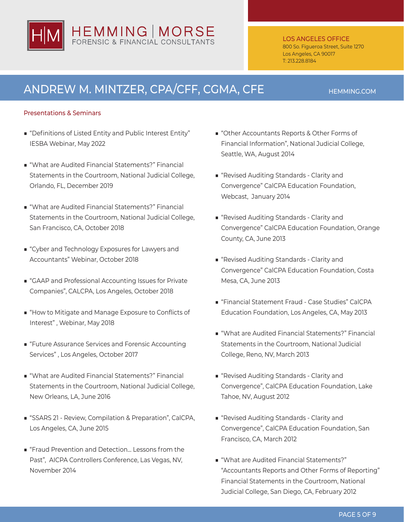

### LOS ANGELES OFFICE

800 So. Figueroa Street, Suite 1270 Los Angeles, CA 90017 T: 213.228.8184

## ANDREW M. MINTZER, CPA/CFF, CGMA, CFE HEMMING.COM

### Presentations & Seminars

- "Definitions of Listed Entity and Public Interest Entity" IESBA Webinar, May 2022
- "What are Audited Financial Statements?" Financial Statements in the Courtroom, National Judicial College, Orlando, FL, December 2019
- "What are Audited Financial Statements?" Financial Statements in the Courtroom, National Judicial College, San Francisco, CA, October 2018
- "Cyber and Technology Exposures for Lawyers and Accountants" Webinar, October 2018
- "GAAP and Professional Accounting Issues for Private Companies", CALCPA, Los Angeles, October 2018
- "How to Mitigate and Manage Exposure to Conflicts of Interest" , Webinar, May 2018
- "Future Assurance Services and Forensic Accounting Services" , Los Angeles, October 2017
- "What are Audited Financial Statements?" Financial Statements in the Courtroom, National Judicial College, New Orleans, LA, June 2016
- "SSARS 21 Review, Compilation & Preparation", CalCPA, Los Angeles, CA, June 2015
- "Fraud Prevention and Detection... Lessons from the Past", AICPA Controllers Conference, Las Vegas, NV, November 2014
- "Other Accountants Reports & Other Forms of Financial Information", National Judicial College, Seattle, WA, August 2014
- "Revised Auditing Standards Clarity and Convergence" CalCPA Education Foundation, Webcast, January 2014
- "Revised Auditing Standards Clarity and Convergence" CalCPA Education Foundation, Orange County, CA, June 2013
- "Revised Auditing Standards Clarity and Convergence" CalCPA Education Foundation, Costa Mesa, CA, June 2013
- "Financial Statement Fraud Case Studies" CalCPA Education Foundation, Los Angeles, CA, May 2013
- "What are Audited Financial Statements?" Financial Statements in the Courtroom, National Judicial College, Reno, NV, March 2013
- "Revised Auditing Standards Clarity and Convergence", CalCPA Education Foundation, Lake Tahoe, NV, August 2012
- "Revised Auditing Standards Clarity and Convergence", CalCPA Education Foundation, San Francisco, CA, March 2012
- "What are Audited Financial Statements?" "Accountants Reports and Other Forms of Reporting" Financial Statements in the Courtroom, National Judicial College, San Diego, CA, February 2012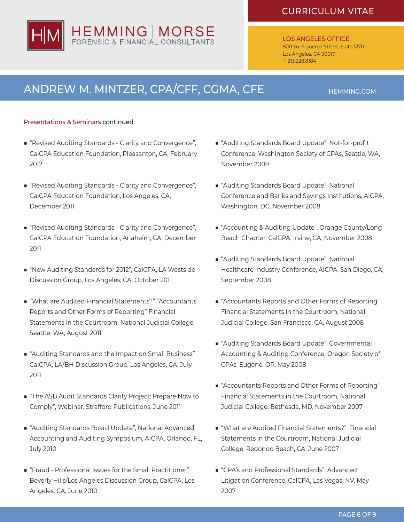

### LOS ANGELES OFFICE 800 So. Figueroa Street, Suite 1270 Los Angeles, CA 90017 T: 213.228.8184

# ANDREW M. MINTZER, CPA/CFF, CGMA, CFE HEMMING.COM

### Presentations & Seminars continued

- "Revised Auditing Standards Clarity and Convergence", CalCPA Education Foundation, Pleasanton, CA, February 2012
- "Revised Auditing Standards Clarity and Convergence", CalCPA Education Foundation, Los Angeles, CA, December 2011
- "Revised Auditing Standards Clarity and Convergence", CalCPA Education Foundation, Anaheim, CA, December 2011
- "New Auditing Standards for 2012", CalCPA, LA Westside Discussion Group, Los Angeles, CA, October 2011
- "What are Audited Financial Statements?" "Accountants Reports and Other Forms of Reporting" Financial Statements in the Courtroom, National Judicial College, Seattle, WA, August 2011
- "Auditing Standards and the Impact on Small Business" CalCPA, LA/BH Discussion Group, Los Angeles, CA, July 2011
- "The ASB Audit Standards Clarity Project: Prepare Now to Comply", Webinar, Strafford Publications, June 2011
- "Auditing Standards Board Update", National Advanced Accounting and Auditing Symposium, AICPA, Orlando, FL, July 2010
- "Fraud Professional Issues for the Small Practitioner" Beverly Hills/Los Angeles Discussion Group, CalCPA, Los Angeles, CA, June 2010
- "Auditing Standards Board Update", Not-for-profit Conference, Washington Society of CPAs, Seattle, WA, November 2009
- "Auditing Standards Board Update", National Conference and Banks and Savings Institutions, AICPA, Washington, DC, November 2008
- "Accounting & Auditing Update", Orange County/Long Beach Chapter, CalCPA, Irvine, CA, November 2008
- "Auditing Standards Board Update", National Healthcare Industry Conference, AICPA, San Diego, CA, September 2008
- "Accountants Reports and Other Forms of Reporting" Financial Statements in the Courtroom, National Judicial College, San Francisco, CA, August 2008
- "Auditing Standards Board Update", Governmental Accounting & Auditing Conference, Oregon Society of CPAs, Eugene, OR, May 2008
- "Accountants Reports and Other Forms of Reporting" Financial Statements in the Courtroom, National Judicial College, Bethesda, MD, November 2007
- "What are Audited Financial Statements?", Financial Statements in the Courtroom, National Judicial College, Redondo Beach, CA, June 2007
- "CPA's and Professional Standards", Advanced Litigation Conference, CalCPA, Las Vegas, NV, May 2007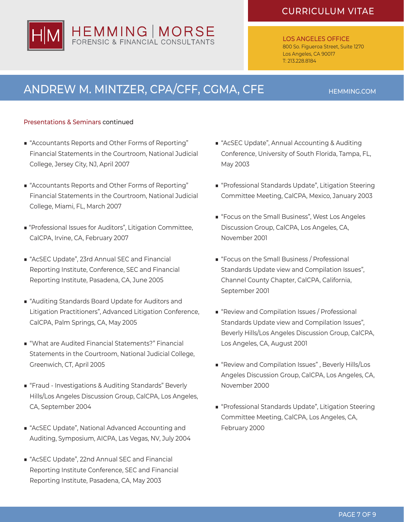

### LOS ANGELES OFFICE 800 So. Figueroa Street, Suite 1270 Los Angeles, CA 90017 T: 213.228.8184

# ANDREW M. MINTZER, CPA/CFF, CGMA, CFE HEMMING.COM

### Presentations & Seminars continued

- "Accountants Reports and Other Forms of Reporting" Financial Statements in the Courtroom, National Judicial College, Jersey City, NJ, April 2007
- "Accountants Reports and Other Forms of Reporting" Financial Statements in the Courtroom, National Judicial College, Miami, FL, March 2007
- "Professional Issues for Auditors", Litigation Committee, CalCPA, Irvine, CA, February 2007
- "AcSEC Update", 23rd Annual SEC and Financial Reporting Institute, Conference, SEC and Financial Reporting Institute, Pasadena, CA, June 2005
- "Auditing Standards Board Update for Auditors and Litigation Practitioners", Advanced Litigation Conference, CalCPA, Palm Springs, CA, May 2005
- "What are Audited Financial Statements?" Financial Statements in the Courtroom, National Judicial College, Greenwich, CT, April 2005
- "Fraud Investigations & Auditing Standards" Beverly Hills/Los Angeles Discussion Group, CalCPA, Los Angeles, CA, September 2004
- "AcSEC Update", National Advanced Accounting and Auditing, Symposium, AICPA, Las Vegas, NV, July 2004
- "AcSEC Update", 22nd Annual SEC and Financial Reporting Institute Conference, SEC and Financial Reporting Institute, Pasadena, CA, May 2003
- "AcSEC Update", Annual Accounting & Auditing Conference, University of South Florida, Tampa, FL, May 2003
- "Professional Standards Update", Litigation Steering Committee Meeting, CalCPA, Mexico, January 2003
- "Focus on the Small Business", West Los Angeles Discussion Group, CalCPA, Los Angeles, CA, November 2001
- "Focus on the Small Business / Professional Standards Update view and Compilation Issues", Channel County Chapter, CalCPA, California, September 2001
- "Review and Compilation Issues / Professional Standards Update view and Compilation Issues", Beverly Hills/Los Angeles Discussion Group, CalCPA, Los Angeles, CA, August 2001
- "Review and Compilation Issues", Beverly Hills/Los Angeles Discussion Group, CalCPA, Los Angeles, CA, November 2000
- "Professional Standards Update", Litigation Steering Committee Meeting, CalCPA, Los Angeles, CA, February 2000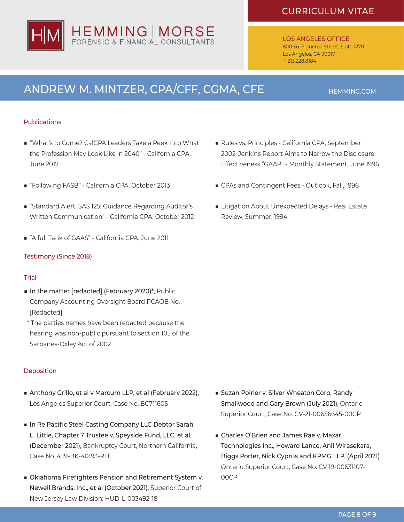

### LOS ANGELES OFFICE 800 So. Figueroa Street, Suite 1270 Los Angeles, CA 90017 T: 213.228.8184

# ANDREW M. MINTZER, CPA/CFF, CGMA, CFE HEMMING.COM

### Publications

- "What's to Come? CalCPA Leaders Take a Peek Into What the Profession May Look Like in 2040" - California CPA, June 2017
- "Following FASB" California CPA, October 2013
- "Standard Alert, SAS 125: Guidance Regarding Auditor's Written Communication" - California CPA, October 2012
- "A full Tank of GAAS" California CPA, June 2011

### Testimony (Since 2018)

### **Trial**

- In the matter [redacted] (February 2020)\*, Public Company Accounting Oversight Board PCAOB No. [Redacted]
- \* The parties names have been redacted because the hearing was non-public pursuant to section 105 of the Sarbanes-Oxley Act of 2002

### Deposition

- Anthony Grillo, et al v Marcum LLP, et al (February 2022), Los Angeles Superior Court, Case No. BC711605
- In Re Pacific Steel Casting Company LLC Debtor Sarah L. Little, Chapter 7 Trustee v. Speyside Fund, LLC, et al. (December 2021), Bankruptcy Court, Northern California, Case No. 4:19-BK-40193-RLE
- Oklahoma Firefighters Pension and Retirement System v. Newell Brands, Inc., et al (October 2021), Superior Court of New Jersey Law Division: HUD-L-003492-18
- Rules vs. Principles California CPA, September 2002 Jenkins Report Aims to Narrow the Disclosure Effectiveness "GAAP" - Monthly Statement, June 1996
- CPAs and Contingent Fees Outlook, Fall, 1996
- Litigation About Unexpected Delays Real Estate Review, Summer, 1994

- Suzan Poirier v. Silver Wheaton Corp, Randy Smallwood and Gary Brown (July 2021), Ontario Superior Court, Case No. CV-21-00656645-00CP
- Charles O'Brien and James Rae v. Maxar Technologies Inc., Howard Lance, Anil Wirasekara, Biggs Porter, Nick Cyprus and KPMG LLP. (April 2021) Ontario Superior Court, Case No. CV 19-00631107- 00CP